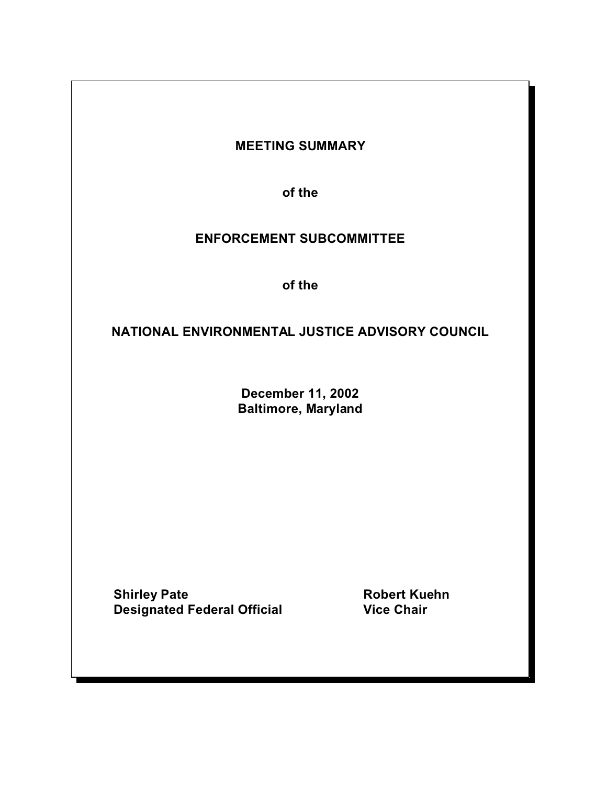# **MEETING SUMMARY**

**of the** 

# **ENFORCEMENT SUBCOMMITTEE**

**of the** 

# **NATIONAL ENVIRONMENTAL JUSTICE ADVISORY COUNCIL**

**December 11, 2002 Baltimore, Maryland** 

**Shirley Pate Robert Kuehn Designated Federal Official Canadian Vice Chair**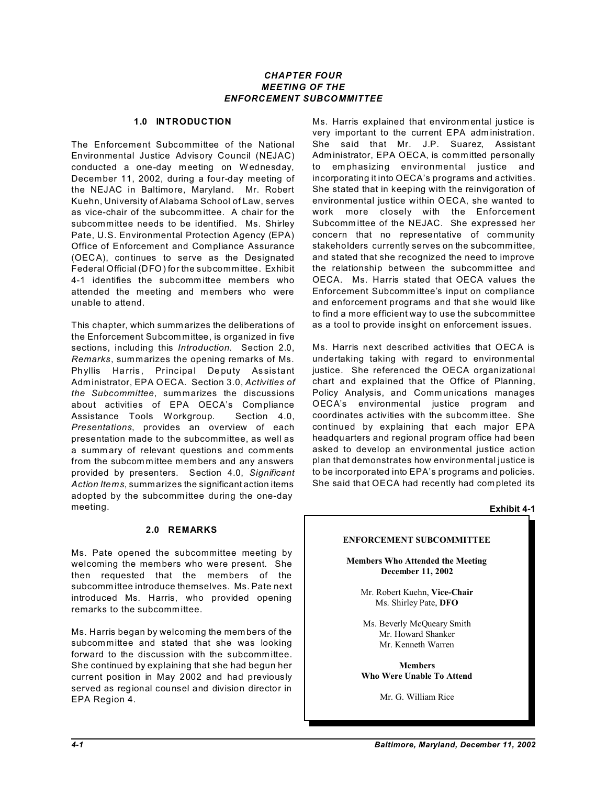# *CHAPTER FOUR MEETING OF THE ENFORCEMENT SUBCOMMITTEE*

## **1.0 INTRODUCTION**

The Enforcement Subcommittee of the National Environmental Justice Advisory Council (NEJAC) conducted a one-day meeting on Wednesday, December 11, 2002, during a four-day meeting of the NEJAC in Baltimore, Maryland. Mr. Robert Kuehn, University of Alabama School of Law, serves as vice-chair of the subcomm ittee. A chair for the subcommittee needs to be identified. Ms. Shirley Pate, U.S. Environmental Protection Agency (EPA) Office of Enforcement and Compliance Assurance (OECA), continues to serve as the Designated Federal Official (DFO) for the subcommittee. Exhibit 4-1 identifies the subcomm ittee members who attended the meeting and members who were unable to attend.

This chapter, which summ arizes the deliberations of the Enforcement Subcom mittee, is organized in five sections, including this *Introduction*. Section 2.0, *Remarks*, summarizes the opening remarks of Ms. Phyllis Harris, Principal Deputy Assistant Adm inistrator, EPA OECA. Section 3.0, *Activities of the Subcommittee*, summarizes the discussions about activities of EPA OECA's Compliance Assistance Tools Workgroup. Section 4.0, *Presentations*, provides an overview of each presentation made to the subcommittee, as well as a summ ary of relevant questions and comments from the subcom mittee members and any answers provided by presenters. Section 4.0, *Significant Action Items*, summarizes the significant action items adopted by the subcomm ittee during the one-day meeting.

# **2.0 REMARKS**

Ms. Pate opened the subcommittee meeting by welcoming the members who were present. She then requested that the members of the subcomm ittee introduce themselves. Ms. Pate next introduced Ms. Harris, who provided opening remarks to the subcomm ittee.

Ms. Harris began by welcoming the mem bers of the subcommittee and stated that she was looking forward to the discussion with the subcommittee. She continued by explaining that she had begun her current position in May 2002 and had previously served as regional counsel and division director in EPA Region 4.

Ms. Harris explained that environm ental justice is very important to the current EPA adm inistration. She said that Mr. J.P. Suarez, Assistant Adm inistrator, EPA OECA, is committed personally to em phasizing environmental justice and incorporating it into OECA's programs and activities. She stated that in keeping with the reinvigoration of environmental justice within OECA, she wanted to work more closely with the Enforcement Subcomm ittee of the NEJAC. She expressed her concern that no representative of community stakeholders currently serves on the subcomm ittee, and stated that she recognized the need to improve the relationship between the subcomm ittee and OECA. Ms. Harris stated that OECA values the Enforcement Subcomm ittee's input on compliance and enforcement programs and that she would like to find a more efficient way to use the subcommittee as a tool to provide insight on enforcement issues.

Ms. Harris next described activities that OECA is undertaking taking with regard to environmental justice. She referenced the OECA organizational chart and explained that the Office of Planning, Policy Analysis, and Comm unications manages OECA's environmental justice program and coordinates activities with the subcomm ittee. She continued by explaining that each major EPA headquarters and regional program office had been asked to develop an environmental justice action plan that demonstrates how environmental justice is to be incorporated into EPA's programs and policies. She said that OECA had recently had com pleted its

# **ENFORCEMENT SUBCOMMITTEE**

**Members Who Attended the Meeting December 11, 2002** 

Mr. Robert Kuehn, **Vice-Chair** Ms. Shirley Pate, **DFO** 

Ms. Beverly McQueary Smith Mr. Howard Shanker Mr. Kenneth Warren

**Members Who Were Unable To Attend** 

Mr. G. William Rice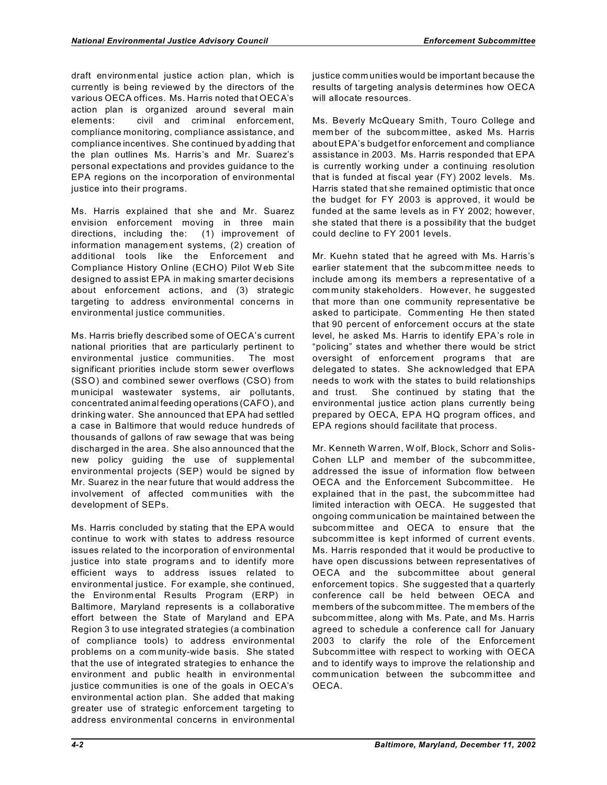draft environm ental justice action plan, which is currently is being reviewed by the directors of the various OECA offices. Ms. Harris noted that OECA's action plan is organized around several main elements: civil and criminal enforcement, compliance monitoring, compliance assistance, and compliance incentives. She continued by adding that the plan outlines Ms. Harris's and Mr. Suarez's personal expectations and provides guidance to the EPA regions on the incorporation of environmental justice into their programs.

Ms. Harris explained that she and Mr. Suarez envision enforcement moving in three main directions, including the: (1) improvement of information managem ent systems, (2) creation of additional tools like the Enforcement and Compliance History Online (ECHO) Pilot W eb Site designed to assist EPA in making smarter decisions about enforcement actions, and (3) strategic targeting to address environmental concerns in environmental justice communities.

Ms. Harris briefly described some of OECA's current national priorities that are particularly pertinent to environmental justice communities. The most significant priorities include storm sewer overflows (SSO) and combined sewer overflows (CSO) from municipal wastewater systems, air pollutants, concentrated animal feeding operations (CAFO), and drinking water. She announced that EPA had settled a case in Baltimore that would reduce hundreds of thousands of gallons of raw sewage that was being discharged in the area. She also announced that the new policy guiding the use of supplemental environmental projects (SEP) would be signed by Mr. Suarez in the near future that would address the involvement of affected communities with the development of SEPs.

Ms. Harris concluded by stating that the EPA would continue to work with states to address resource issues related to the incorporation of environmental justice into state programs and to identify more efficient ways to address issues related to environmental justice. For example, she continued, the Environm ental Results Program (ERP) in Baltimore, Maryland represents is a collaborative effort between the State of Maryland and EPA Region 3 to use integrated strategies (a combination of compliance tools) to address environmental problems on a com munity-wide basis. She stated that the use of integrated strategies to enhance the environment and public health in environmental justice communities is one of the goals in OECA's environmental action plan. She added that making greater use of strategic enforcement targeting to address environmental concerns in environmental justice comm unities would be important because the results of targeting analysis determines how OECA will allocate resources.

Ms. Beverly McQueary Smith, Touro College and mem ber of the subcom mittee, asked Ms. Harris about EPA's budget for enforcement and compliance assistance in 2003. Ms. Harris responded that EPA is currently working under a continuing resolution that is funded at fiscal year (FY) 2002 levels. Ms. Harris stated that she remained optimistic that once the budget for FY 2003 is approved, it would be funded at the same levels as in FY 2002; however, she stated that there is a possibility that the budget could decline to FY 2001 levels.

Mr. Kuehn stated that he agreed with Ms. Harris's earlier statement that the subcom mittee needs to include among its members a representative of a com munity stakeholders. However, he suggested that more than one community representative be asked to participate. Comm enting He then stated that 90 percent of enforcement occurs at the state level, he asked Ms. Harris to identify EPA's role in "policing" states and whether there would be strict oversight of enforcement programs that are delegated to states. She acknowledged that EPA needs to work with the states to build relationships and trust. She continued by stating that the environmental justice action plans currently being prepared by OECA, EPA HQ program offices, and EPA regions should facilitate that process.

Mr. Kenneth Warren, W olf, Block, Schorr and Solis-Cohen LLP and member of the subcommittee, addressed the issue of information flow between OECA and the Enforcement Subcommittee. He explained that in the past, the subcommittee had limited interaction with OECA. He suggested that ongoing comm unication be maintained between the subcom mittee and OECA to ensure that the subcomm ittee is kept informed of current events. Ms. Harris responded that it would be productive to have open discussions between representatives of OECA and the subcommittee about general enforcement topics. She suggested that a quarterly conference call be held between OECA and members of the subcom mittee. The m embers of the subcom mittee, along with Ms. Pate, and Ms. Harris agreed to schedule a conference call for January 2003 to clarify the role of the Enforcement Subcomm ittee with respect to working with OECA and to identify ways to improve the relationship and communication between the subcomm ittee and OECA.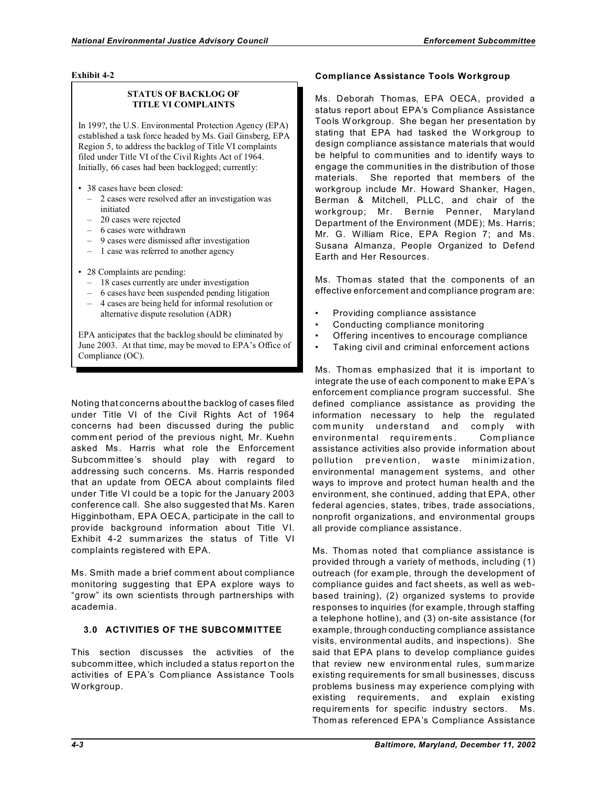### **Exhibit 4-2**

## **STATUS OF BACKLOG OF TITLE VI COMPLAINTS**

In 199?, the U.S. Environmental Protection Agency (EPA) established a task force headed by Ms. Gail Ginsberg, EPA Region 5, to address the backlog of Title VI complaints filed under Title VI of the Civil Rights Act of 1964. Initially, 66 cases had been backlogged; currently:

- 38 cases have been closed:
	- 2 cases were resolved after an investigation was initiated
	- 20 cases were rejected
	- 6 cases were withdrawn
	- 9 cases were dismissed after investigation
	- – 1 case was referred to another agency
- 28 Complaints are pending:
	- 18 cases currently are under investigation
	- $-6$  cases have been suspended pending litigation
	- 4 cases are being held for informal resolution or alternative dispute resolution (ADR)

EPA anticipates that the backlog should be eliminated by June 2003. At that time, may be moved to EPA's Office of Compliance (OC).

Noting that concerns about the backlog of cases filed under Title VI of the Civil Rights Act of 1964 concerns had been discussed during the public comm ent period of the previous night, Mr. Kuehn asked Ms. Harris what role the Enforcement Subcom mittee's should play with regard to addressing such concerns. Ms. Harris responded that an update from OECA about complaints filed under Title VI could be a topic for the January 2003 conference call. She also suggested that Ms. Karen Higginbotham, EPA OECA, participate in the call to provide background information about Title VI. Exhibit 4-2 summarizes the status of Title VI complaints registered with EPA.

Ms. Smith made a brief comm ent about compliance monitoring suggesting that EPA explore ways to "grow" its own scientists through partnerships with academia.

# **3.0 ACTIVITIES OF THE SUBCOMM ITTEE**

This section discusses the activities of the subcomm ittee, which included a status report on the activities of EPA's Com pliance Assistance Tools W orkgroup.

## **Compliance Assistance Tools Workgroup**

Ms. Deborah Thomas, EPA OECA, provided a status report about EPA's Compliance Assistance Tools W orkgroup. She began her presentation by stating that EPA had tasked the W orkgroup to design compliance assistance materials that would be helpful to communities and to identify ways to engage the communities in the distribution of those materials. She reported that members of the workgroup include Mr. Howard Shanker, Hagen, Berman & Mitchell, PLLC, and chair of the workgroup; Mr. Bernie Penner, Maryland Department of the Environment (MDE); Ms. Harris; Mr. G. William Rice, EPA Region 7; and Ms. Susana Almanza, People Organized to Defend Earth and Her Resources.

Ms. Thomas stated that the components of an effective enforcement and compliance program are:

- Providing compliance assistance
- Conducting compliance monitoring
- Offering incentives to encourage compliance
- Taking civil and criminal enforcement actions

Ms. Thomas emphasized that it is important to integrate the use of each component to make EPA's enforcem ent compliance program successful. She defined compliance assistance as providing the information necessary to help the regulated com munity understand and comply with environmental requirements. Compliance assistance activities also provide information about po llution prevention, waste minimization, environmental managem ent systems, and other ways to improve and protect human health and the environm ent, she continued, adding that EPA, other federal agencies, states, tribes, trade associations, nonprofit organizations, and environmental groups all provide compliance assistance.

Ms. Thomas noted that compliance assistance is provided through a variety of methods, including (1) outreach (for exam ple, through the development of compliance guides and fact sheets, as well as webbased training), (2) organized systems to provide responses to inquiries (for example, through staffing a telephone hotline), and (3) on-site assistance (for example, through conducting compliance assistance visits, environmental audits, and inspections). She said that EPA plans to develop compliance guides that review new environm ental rules, sum marize existing requirements for sm all businesses, discuss problems business may experience com plying with existing requirements, and explain existing requirements for specific industry sectors. Ms. Thomas referenced EPA's Compliance Assistance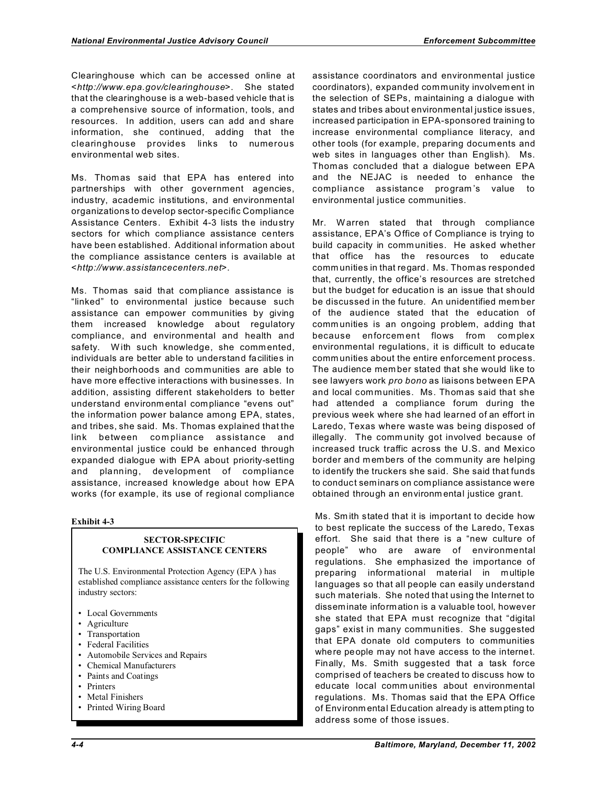Clearinghouse which can be accessed online at <*http://www.epa.gov/clearinghouse*>. She stated that the clearinghouse is a web-based vehicle that is a comprehensive source of information, tools, and resources. In addition, users can add and share information, she continued, adding that the clearinghouse provides links to numerous environmental web sites.

Ms. Thomas said that EPA has entered into partnerships with other government agencies, industry, academic institutions, and environmental organizations to develop sector-specific Compliance Assistance Centers. Exhibit 4-3 lists the industry sectors for which compliance assistance centers have been established. Additional information about the compliance assistance centers is available at <*http://www.assistancecenters.net*>.

Ms. Thomas said that com pliance assistance is "linked" to environmental justice because such assistance can empower communities by giving them increased knowledge about regulatory compliance, and environmental and health and safety. With such knowledge, she commented, individuals are better able to understand facilities in their neighborhoods and communities are able to have more effective interactions with businesses. In addition, assisting different stakeholders to better understand environm ental com pliance "evens out" the information power balance among EPA, states, and tribes, she said. Ms. Thomas explained that the link between compliance assistance and environmental justice could be enhanced through expanded dialogue with EPA about priority-setting and planning, development of compliance assistance, increased knowledge about how EPA works (for example, its use of regional compliance

## **Exhibit 4-3**

## **SECTOR-SPECIFIC COMPLIANCE ASSISTANCE CENTERS**

The U.S. Environmental Protection Agency (EPA ) has established compliance assistance centers for the following industry sectors:

- Local Governments
- Agriculture
- Transportation
- Federal Facilities
- Automobile Services and Repairs
- Chemical Manufacturers
- Paints and Coatings
- Printers
- Metal Finishers
- Printed Wiring Board

assistance coordinators and environmental justice coordinators), expanded community involvem ent in the selection of SEPs, maintaining a dialogue with states and tribes about environmental justice issues, increased participation in EPA-sponsored training to increase environmental compliance literacy, and other tools (for example, preparing documents and web sites in languages other than English). Ms. Thomas concluded that a dialogue between EPA and the NEJAC is needed to enhance the compliance assistance program 's value to environmental justice communities.

Mr. Warren stated that through compliance assistance, EPA's Office of Compliance is trying to build capacity in comm unities. He asked whether that office has the resources to educate comm unities in that regard. Ms. Thomas responded that, currently, the office's resources are stretched but the budget for education is an issue that should be discussed in the future. An unidentified mem ber of the audience stated that the education of comm unities is an ongoing problem, adding that because enforcem ent flows from complex environmental regulations, it is difficult to educate comm unities about the entire enforcement process. The audience mem ber stated that she would like to see lawyers work *pro bono* as liaisons between EPA and local communities. Ms. Thomas said that she had attended a compliance forum during the previous week where she had learned of an effort in Laredo, Texas where waste was being disposed of illegally. The comm unity got involved because of increased truck traffic across the U.S. and Mexico border and members of the community are helping to identify the truckers she said. She said that funds to conduct seminars on compliance assistance were obtained through an environm ental justice grant.

Ms. Sm ith stated that it is important to decide how to best replicate the success of the Laredo, Texas effort. She said that there is a "new culture of people" who are aware of environmental regulations. She emphasized the importance of preparing informational material in multiple languages so that all people can easily understand such materials. She noted that using the Internet to disseminate information is a valuable tool, however she stated that EPA must recognize that "digital gaps" exist in many communities. She suggested that EPA donate old computers to communities where people may not have access to the internet. Finally, Ms. Smith suggested that a task force comprised of teachers be created to discuss how to educate local comm unities about environmental regulations. Ms. Thomas said that the EPA Office of Environm ental Education already is attem pting to address some of those issues.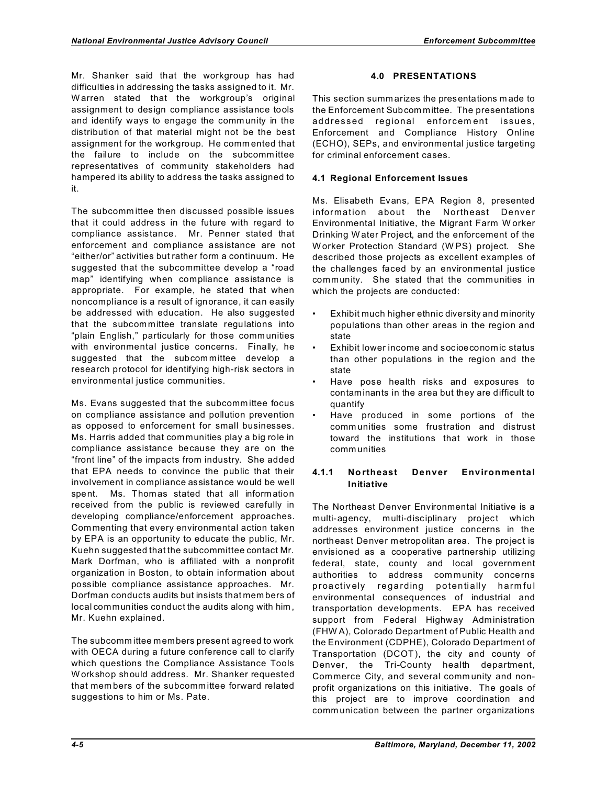Mr. Shanker said that the workgroup has had difficulties in addressing the tasks assigned to it. Mr. W arren stated that the workgroup's original assignment to design compliance assistance tools and identify ways to engage the comm unity in the distribution of that material might not be the best assignment for the workgroup. He comm ented that the failure to include on the subcomm ittee representatives of community stakeholders had hampered its ability to address the tasks assigned to it.

The subcomm ittee then discussed possible issues that it could address in the future with regard to compliance assistance. Mr. Penner stated that enforcement and com pliance assistance are not "either/or" activities but rather form a continuum. He suggested that the subcommittee develop a "road map" identifying when compliance assistance is appropriate. For example, he stated that when noncompliance is a result of ignorance, it can easily be addressed with education. He also suggested that the subcommittee translate regulations into "plain English," particularly for those comm unities with environmental justice concerns. Finally, he suggested that the subcom mittee develop a research protocol for identifying high-risk sectors in environmental justice communities.

Ms. Evans suggested that the subcomm ittee focus on compliance assistance and pollution prevention as opposed to enforcement for small businesses. Ms. Harris added that communities play a big role in compliance assistance because they are on the "front line" of the impacts from industry. She added that EPA needs to convince the public that their involvement in compliance assistance would be well spent. Ms. Thomas stated that all inform ation received from the public is reviewed carefully in developing compliance/enforcement approaches. Commenting that every environmental action taken by EPA is an opportunity to educate the public, Mr. Kuehn suggested that the subcommittee contact Mr. Mark Dorfman, who is affiliated with a nonprofit organization in Boston, to obtain information about possible compliance assistance approaches. Mr. Dorfman conducts audits but insists that mem bers of local communities conduct the audits along with him , Mr. Kuehn explained.

The subcomm ittee members present agreed to work with OECA during a future conference call to clarify which questions the Compliance Assistance Tools W orkshop should address. Mr. Shanker requested that mem bers of the subcomm ittee forward related suggestions to him or Ms. Pate.

# **4.0 PRESENTATIONS**

This section summ arizes the presentations m ade to the Enforcement Subcom mittee. The presentations addressed regional enforcement issues, Enforcement and Compliance History Online (ECHO), SEPs, and environmental justice targeting for criminal enforcement cases.

# **4.1 Regional Enforcement Issues**

Ms. Elisabeth Evans, EPA Region 8, presented information about the Northeast Denver Environmental Initiative, the Migrant Farm W orker Drinking W ater Project, and the enforcement of the W orker Protection Standard (W PS) project. She described those projects as excellent examples of the challenges faced by an environmental justice community. She stated that the communities in which the projects are conducted:

- Exhibit much higher ethnic diversity and minority populations than other areas in the region and state
- Exhibit lower income and socioeconomic status than other populations in the region and the state
- Have pose health risks and exposures to contaminants in the area but they are difficult to quantify
- Have produced in some portions of the comm unities some frustration and distrust toward the institutions that work in those comm unities

# **4.1.1 No rtheast Denver Environmental Initiative**

The Northeast Denver Environmental Initiative is a multi-agency, multi-disciplinary project which addresses environment justice concerns in the northeast Denver metropolitan area. The project is envisioned as a cooperative partnership utilizing federal, state, county and local government authorities to address com munity concerns p roa ctiv ely regarding potentially harm ful environmental consequences of industrial and transportation developments. EPA has received support from Federal Highway Administration (FHW A), Colorado Department of Public Health and the Environment (CDPHE), Colorado Department of Transportation (DCOT), the city and county of Denver, the Tri-County health department, Commerce City, and several comm unity and nonprofit organizations on this initiative. The goals of this project are to improve coordination and comm unication between the partner organizations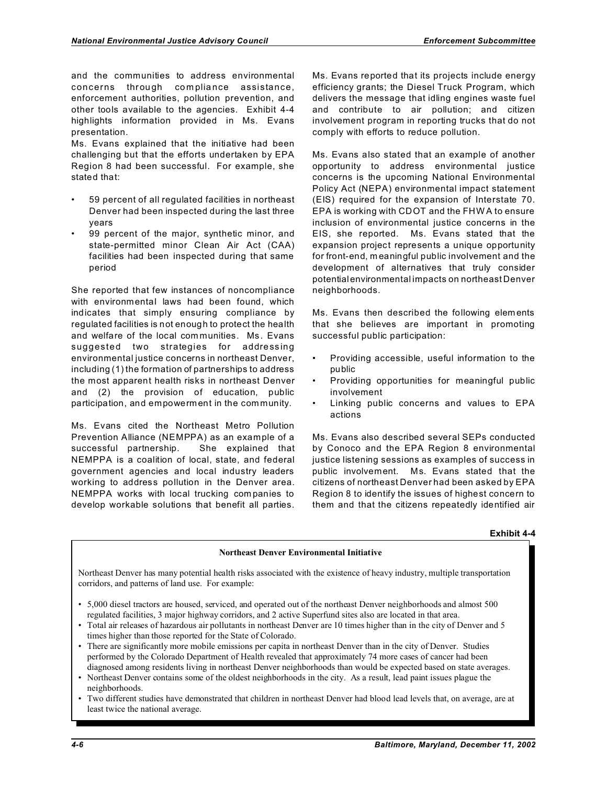and the communities to address environmental concerns through compliance assistance, enforcement authorities, pollution prevention, and other tools available to the agencies. Exhibit 4-4 highlights information provided in Ms. Evans presentation.

Ms. Evans explained that the initiative had been challenging but that the efforts undertaken by EPA Region 8 had been successful. For example, she stated that:

- 59 percent of all regulated facilities in northeast Denver had been inspected during the last three years
- 99 percent of the major, synthetic minor, and state-permitted minor Clean Air Act (CAA) facilities had been inspected during that same period

She reported that few instances of noncompliance with environmental laws had been found, which indicates that simply ensuring compliance by regulated facilities is not enough to protect the health and welfare of the local communities. Ms. Evans suggested two strategies for addressing environmental justice concerns in northeast Denver, including (1) the formation of partnerships to address the most apparent health risks in northeast Denver and (2) the provision of education, public participation, and empowerment in the com munity.

Ms. Evans cited the Northeast Metro Pollution Prevention Alliance (NEMPPA) as an example of a successful partnership. She explained that NEMPPA is a coalition of local, state, and federal government agencies and local industry leaders working to address pollution in the Denver area. NEMPPA works with local trucking com panies to develop workable solutions that benefit all parties.

Ms. Evans reported that its projects include energy efficiency grants; the Diesel Truck Program, which delivers the message that idling engines waste fuel and contribute to air pollution; and citizen involvement program in reporting trucks that do not comply with efforts to reduce pollution.

Ms. Evans also stated that an example of another opportunity to address environmental justice concerns is the upcoming National Environmental Policy Act (NEPA) environmental impact statement (EIS) required for the expansion of Interstate 70. EPA is working with CDOT and the FHW A to ensure inclusion of environmental justice concerns in the EIS, she reported. Ms. Evans stated that the expansion project represents a unique opportunity for front-end, m eaningful public involvement and the development of alternatives that truly consider potentialenvironmental impacts on northeast Denver neighborhoods.

Ms. Evans then described the following elements that she believes are important in promoting successful public participation:

- Providing accessible, useful information to the public
- Providing opportunities for meaningful public involvement
- Linking public concerns and values to EPA actions

Ms. Evans also described several SEPs conducted by Conoco and the EPA Region 8 environmental justice listening sessions as examples of success in public involvement. Ms. Evans stated that the citizens of northeast Denver had been asked by EPA Region 8 to identify the issues of highest concern to them and that the citizens repeatedly identified air

#### **Exhibit 4-4**

## **Northeast Denver Environmental Initiative**

Northeast Denver has many potential health risks associated with the existence of heavy industry, multiple transportation corridors, and patterns of land use. For example:

- • 5,000 diesel tractors are housed, serviced, and operated out of the northeast Denver neighborhoods and almost 500 regulated facilities, 3 major highway corridors, and 2 active Superfund sites also are located in that area.
- Total air releases of hazardous air pollutants in northeast Denver are 10 times higher than in the city of Denver and 5 times higher than those reported for the State of Colorado.
- There are significantly more mobile emissions per capita in northeast Denver than in the city of Denver. Studies performed by the Colorado Department of Health revealed that approximately 74 more cases of cancer had been diagnosed among residents living in northeast Denver neighborhoods than would be expected based on state averages.
- Northeast Denver contains some of the oldest neighborhoods in the city. As a result, lead paint issues plague the neighborhoods.
- • Two different studies have demonstrated that children in northeast Denver had blood lead levels that, on average, are at least twice the national average.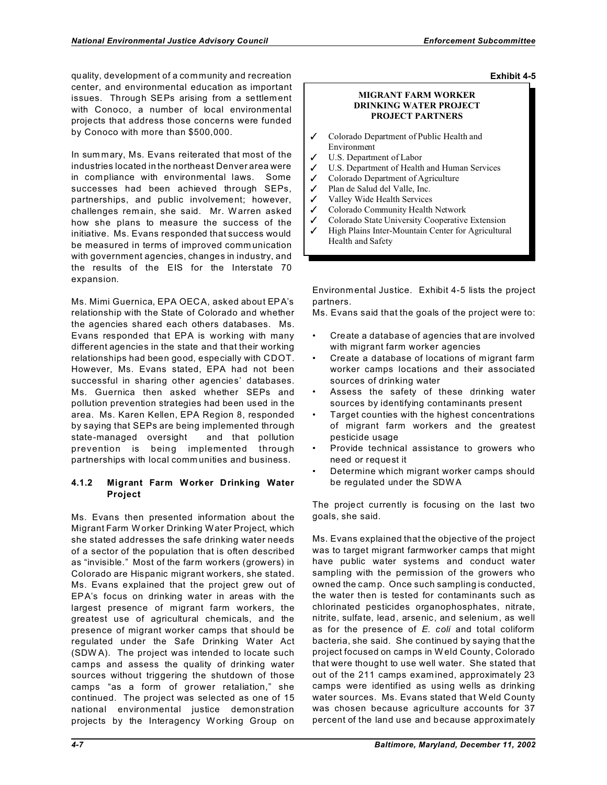quality, development of a community and recreation center, and environmental education as important issues. Through SEPs arising from a settlement with Conoco, a number of local environmental projects that address those concerns were funded by Conoco with more than \$500,000.

In sum mary, Ms. Evans reiterated that most of the industries located in the northeast Denver area were in compliance with environmental laws. Some successes had been achieved through SEPs, partnerships, and public involvement; however, challenges remain, she said. Mr. W arren asked how she plans to measure the success of the initiative. Ms. Evans responded that success would be measured in terms of improved comm unication with government agencies, changes in industry, and the results of the EIS for the Interstate 70 expansion.

Ms. Mimi Guernica, EPA OECA, asked about EPA's relationship with the State of Colorado and whether the agencies shared each others databases. Ms. Evans responded that EPA is working with many different agencies in the state and that their working relationships had been good, especially with CDOT. However, Ms. Evans stated, EPA had not been successful in sharing other agencies' databases. Ms. Guernica then asked whether SEPs and pollution prevention strategies had been used in the area. Ms. Karen Kellen, EPA Region 8, responded by saying that SEPs are being implemented through state-managed oversight and that pollution prevention is being implemented through partnerships with local comm unities and business.

# **4.1.2 Migrant Farm Worker Drinking Water Project**

Ms. Evans then presented information about the Migrant Farm W orker Drinking Water Project, which she stated addresses the safe drinking water needs of a sector of the population that is often described as "invisible." Most of the farm workers (growers) in Colorado are Hispanic migrant workers, she stated. Ms. Evans explained that the project grew out of EPA's focus on drinking water in areas with the largest presence of migrant farm workers, the greatest use of agricultural chemicals, and the presence of migrant worker camps that should be regulated under the Safe Drinking Water Act (SDW A). The project was intended to locate such camps and assess the quality of drinking water sources without triggering the shutdown of those camps "as a form of grower retaliation," she continued. The project was selected as one of 15 national environmental justice demonstration projects by the Interagency W orking Group on

## **Exhibit 4-5**

## **MIGRANT FARM WORKER DRINKING WATER PROJECT PROJECT PARTNERS**

- Colorado Department of Public Health and Environment
- U.S. Department of Labor
- U.S. Department of Health and Human Services
- $\checkmark$  Colorado Department of Agriculture
- $\checkmark$  Plan de Salud del Valle, Inc.
- $\checkmark$  Valley Wide Health Services
- ✔ Colorado Community Health Network
- $\checkmark$  Colorado State University Cooperative Extension
- $\checkmark$  High Plains Inter-Mountain Center for Agricultural Health and Safety

Environmental Justice. Exhibit 4-5 lists the project partners.

Ms. Evans said that the goals of the project were to:

- Create a database of agencies that are involved with migrant farm worker agencies
- Create a database of locations of migrant farm worker camps locations and their associated sources of drinking water
- Assess the safety of these drinking water sources by identifying contaminants present
- Target counties with the highest concentrations of migrant farm workers and the greatest pesticide usage
- Provide technical assistance to growers who need or request it
- Determine which migrant worker camps should be regulated under the SDW A

The project currently is focusing on the last two goals, she said.

Ms. Evans explained that the objective of the project was to target migrant farmworker camps that might have public water systems and conduct water sampling with the permission of the growers who owned the camp. Once such sampling is conducted, the water then is tested for contaminants such as chlorinated pesticides organophosphates, nitrate, nitrite, sulfate, lead, arsenic, and selenium, as well as for the presence of *E. coli* and total coliform bacteria, she said. She continued by saying that the project focused on camps in W eld County, Colorado that were thought to use well water. She stated that out of the 211 camps exam ined, approximately 23 camps were identified as using wells as drinking water sources. Ms. Evans stated that Weld County was chosen because agriculture accounts for 37 percent of the land use and because approximately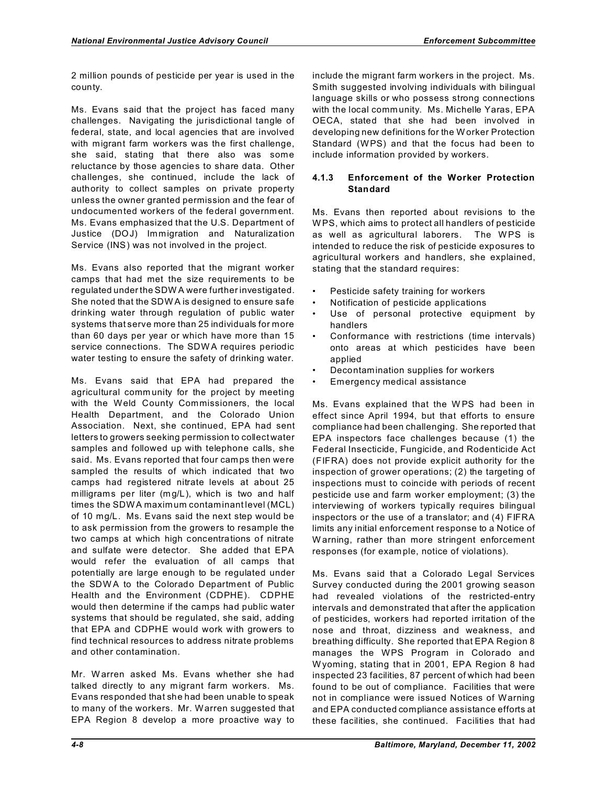2 million pounds of pesticide per year is used in the county.

Ms. Evans said that the project has faced many challenges. Navigating the jurisdictional tangle of federal, state, and local agencies that are involved with migrant farm workers was the first challenge, she said, stating that there also was some reluctance by those agencies to share data. Other challenges, she continued, include the lack of authority to collect samples on private property unless the owner granted permission and the fear of undocumented workers of the federal governm ent. Ms. Evans emphasized that the U.S. Department of Justice (DOJ) Immigration and Naturalization Service (INS) was not involved in the project.

Ms. Evans also reported that the migrant worker camps that had met the size requirements to be regulated under the SDW A were further investigated. She noted that the SDW A is designed to ensure safe drinking water through regulation of public water systems that serve more than 25 individuals for more than 60 days per year or which have more than 15 service connections. The SDW A requires periodic water testing to ensure the safety of drinking water.

Ms. Evans said that EPA had prepared the agricultural comm unity for the project by meeting with the Weld County Commissioners, the local Health Department, and the Colorado Union Association. Next, she continued, EPA had sent letters to growers seeking permission to collect water samples and followed up with telephone calls, she said. Ms. Evans reported that four camps then were sampled the results of which indicated that two camps had registered nitrate levels at about 25 milligrams per liter (m g/L), which is two and half times the SDWA maximum contaminant level (MCL) of 10 mg/L. Ms. Evans said the next step would be to ask permission from the growers to resample the two camps at which high concentrations of nitrate and sulfate were detector. She added that EPA would refer the evaluation of all camps that potentially are large enough to be regulated under the SDWA to the Colorado Department of Public Health and the Environment (CDPHE). CDPHE would then determine if the camps had public water systems that should be regulated, she said, adding that EPA and CDPHE would work with growers to find technical resources to address nitrate problems and other contamination.

Mr. W arren asked Ms. Evans whether she had talked directly to any migrant farm workers. Ms. Evans responded that she had been unable to speak to many of the workers. Mr. Warren suggested that EPA Region 8 develop a more proactive way to

include the migrant farm workers in the project. Ms. Smith suggested involving individuals with bilingual language skills or who possess strong connections with the local comm unity. Ms. Michelle Yaras, EPA OECA, stated that she had been involved in developing new definitions for the Worker Protection Standard (WPS) and that the focus had been to include information provided by workers.

# **4.1.3 Enforcement of the Worker Protection Standard**

Ms. Evans then reported about revisions to the W PS, which aims to protect all handlers of pesticide as well as agricultural laborers. The WPS is intended to reduce the risk of pesticide exposures to agricultural workers and handlers, she explained, stating that the standard requires:

- Pesticide safety training for workers
- Notification of pesticide applications
- Use of personal protective equipment by handlers
- Conformance with restrictions (time intervals) onto areas at which pesticides have been applied
- Decontamination supplies for workers
- Emergency medical assistance

Ms. Evans explained that the W PS had been in effect since April 1994, but that efforts to ensure compliance had been challenging. She reported that EPA inspectors face challenges because (1) the Federal Insecticide, Fungicide, and Rodenticide Act (FIFRA) does not provide explicit authority for the inspection of grower operations; (2) the targeting of inspections must to coincide with periods of recent pesticide use and farm worker employment; (3) the interviewing of workers typically requires bilingual inspectors or the use of a translator; and (4) FIFRA limits any initial enforcement response to a Notice of W arning, rather than more stringent enforcement responses (for exam ple, notice of violations).

Ms. Evans said that a Colorado Legal Services Survey conducted during the 2001 growing season had revealed violations of the restricted-entry intervals and demonstrated that after the application of pesticides, workers had reported irritation of the nose and throat, dizziness and weakness, and breathing difficulty. She reported that EPA Region 8 manages the WPS Program in Colorado and W yoming, stating that in 2001, EPA Region 8 had inspected 23 facilities, 87 percent of which had been found to be out of compliance. Facilities that were not in compliance were issued Notices of Warning and EPA conducted compliance assistance efforts at these facilities, she continued. Facilities that had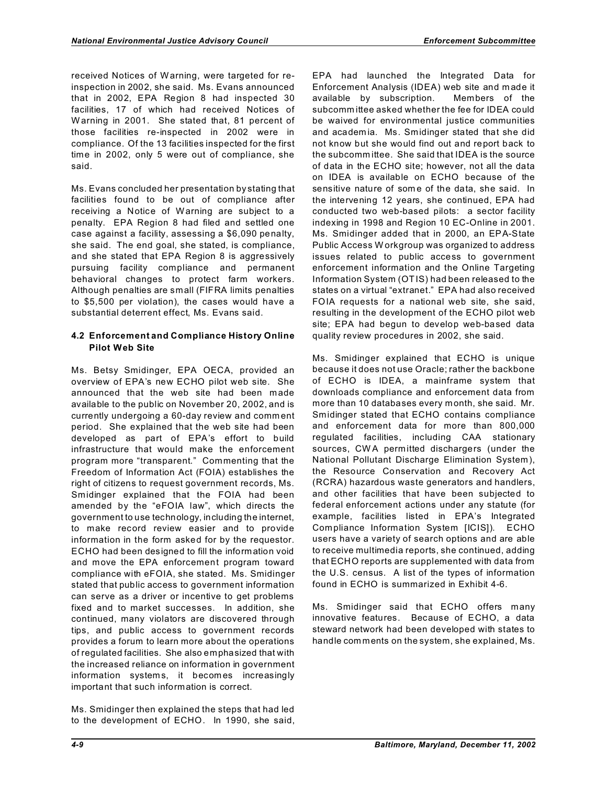received Notices of Warning, were targeted for reinspection in 2002, she said. Ms. Evans announced that in 2002, EPA Region 8 had inspected 30 facilities, 17 of which had received Notices of W arning in 2001. She stated that, 81 percent of those facilities re-inspected in 2002 were in compliance. Of the 13 facilities inspected for the first time in 2002, only 5 were out of compliance, she said.

Ms. Evans concluded her presentation by stating that facilities found to be out of compliance after receiving a Notice of Warning are subject to a penalty. EPA Region 8 had filed and settled one case against a facility, assessing a \$6,090 penalty, she said. The end goal, she stated, is compliance, and she stated that EPA Region 8 is aggressively pursuing facility compliance and permanent behavioral changes to protect farm workers. Although penalties are small (FIFRA limits penalties to \$5,500 per violation), the cases would have a substantial deterrent effect, Ms. Evans said.

# **4.2 Enforcement and Compliance History Online Pilot Web Site**

Ms. Betsy Smidinger, EPA OECA, provided an overview of EPA's new ECHO pilot web site. She announced that the web site had been made available to the public on November 20, 2002, and is currently undergoing a 60-day review and comm ent period. She explained that the web site had been developed as part of EPA's effort to build infrastructure that would make the enforcement program more "transparent." Commenting that the Freedom of Information Act (FOIA) establishes the right of citizens to request government records, Ms. Smidinger explained that the FOIA had been amended by the "eFOIA law", which directs the government to use technology, including the internet, to make record review easier and to provide information in the form asked for by the requestor. ECHO had been designed to fill the information void and move the EPA enforcement program toward compliance with eFOIA, she stated. Ms. Smidinger stated that public access to government information can serve as a driver or incentive to get problems fixed and to market successes. In addition, she continued, many violators are discovered through tips, and public access to government records provides a forum to learn more about the operations of regulated facilities. She also emphasized that with the increased reliance on information in government information system s, it becom es increasingly important that such information is correct.

Ms. Smidinger then explained the steps that had led to the development of ECHO. In 1990, she said,

EPA had launched the Integrated Data for Enforcement Analysis (IDEA) web site and m ade it available by subscription. Members of the subcomm ittee asked whether the fee for IDEA could be waived for environmental justice communities and academ ia. Ms. Smidinger stated that she did not know but she would find out and report back to the subcomm ittee. She said that IDEA is the source of data in the ECHO site; however, not all the data on IDEA is available on ECHO because of the sensitive nature of some of the data, she said. In the intervening 12 years, she continued, EPA had conducted two web-based pilots: a sector facility indexing in 1998 and Region 10 EC-Online in 2001. Ms. Smidinger added that in 2000, an EPA-State Public Access W orkgroup was organized to address issues related to public access to government enforcement information and the Online Targeting Information System (OTIS) had been released to the states on a virtual "extranet." EPA had also received FOIA requests for a national web site, she said, resulting in the development of the ECHO pilot web site; EPA had begun to develop web-based data quality review procedures in 2002, she said.

Ms. Smidinger explained that ECHO is unique because it does not use Oracle; rather the backbone of ECHO is IDEA, a mainframe system that downloads compliance and enforcement data from more than 10 databases every month, she said. Mr. Smidinger stated that ECHO contains compliance and enforcement data for more than 800,000 regulated facilities, including CAA stationary sources, CWA permitted dischargers (under the National Pollutant Discharge Elimination System), the Resource Conservation and Recovery Act (RCRA) hazardous waste generators and handlers, and other facilities that have been subjected to federal enforcement actions under any statute (for example, facilities listed in EPA's Integrated Compliance Information System [ICIS]). ECHO users have a variety of search options and are able to receive multimedia reports, she continued, adding that ECHO reports are supplemented with data from the U.S. census. A list of the types of information found in ECHO is summarized in Exhibit 4-6.

Ms. Smidinger said that ECHO offers many innovative features. Because of ECHO, a data steward network had been developed with states to handle com ments on the system, she explained, Ms.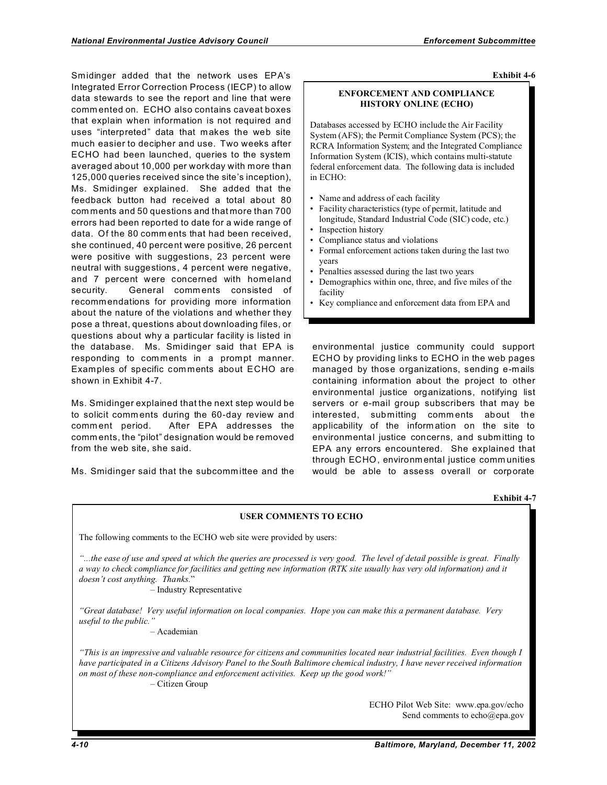Smidinger added that the network uses EPA's Integrated Error Correction Process (IECP) to allow data stewards to see the report and line that were comm ented on. ECHO also contains caveat boxes that explain when information is not required and uses "interpreted" data that m akes the web site much easier to decipher and use. Two weeks after ECHO had been launched, queries to the system averaged about 10,000 per workday with more than 125,000 queries received since the site's inception), Ms. Smidinger explained. She added that the feedback button had received a total about 80 com ments and 50 questions and that more than 700 errors had been reported to date for a wide range of data. Of the 80 comm ents that had been received, she continued, 40 percent were positive, 26 percent were positive with suggestions, 23 percent were neutral with suggestions, 4 percent were negative, and 7 percent were concerned with homeland security. General comm ents consisted of recomm endations for providing more information about the nature of the violations and whether they pose a threat, questions about downloading files, or questions about why a particular facility is listed in the database. Ms. Smidinger said that EPA is responding to com ments in a prompt manner. Examples of specific comments about ECHO are shown in Exhibit 4-7.

Ms. Smidinger explained that the next step would be to solicit comm ents during the 60-day review and comm ent period. After EPA addresses the comm ents, the "pilot" designation would be removed from the web site, she said.

Ms. Smidinger said that the subcomm ittee and the

**Exhibit 4-6** 

## **ENFORCEMENT AND COMPLIANCE HISTORY ONLINE (ECHO)**

Databases accessed by ECHO include the Air Facility System (AFS); the Permit Compliance System (PCS); the RCRA Information System; and the Integrated Compliance Information System (ICIS), which contains multi-statute federal enforcement data. The following data is included in ECHO:

- Name and address of each facility
- Facility characteristics (type of permit, latitude and longitude, Standard Industrial Code (SIC) code, etc.)
- Inspection history
- Compliance status and violations
- Formal enforcement actions taken during the last two years
- Penalties assessed during the last two years
- Demographics within one, three, and five miles of the facility
- • Key compliance and enforcement data from EPA and

environmental justice community could support ECHO by providing links to ECHO in the web pages managed by those organizations, sending e-mails containing information about the project to other environmental justice organizations, notifying list servers or e-mail group subscribers that may be interested, submitting comm ents about the applicability of the information on the site to environmental justice concerns, and subm itting to EPA any errors encountered. She explained that through ECHO, environmental justice comm unities would be able to assess overall or corporate

#### **Exhibit 4-7**

# **USER COMMENTS TO ECHO**

The following comments to the ECHO web site were provided by users: *"...the ease of use and speed at which the queries are processed is very good. The level of detail possible is great. Finally a way to check compliance for facilities and getting new information (RTK site usually has very old information) and it doesn't cost anything. Thanks.*" – Industry Representative *"Great database! Very useful information on local companies. Hope you can make this a permanent database. Very useful to the public."*  – Academian *"This is an impressive and valuable resource for citizens and communities located near industrial facilities. Even though I have participated in a Citizens Advisory Panel to the South Baltimore chemical industry, I have never received information on most of these non-compliance and enforcement activities. Keep up the good work!"*  – Citizen Group ECHO Pilot Web Site: www.epa.gov/echo Send comments to echo@epa.gov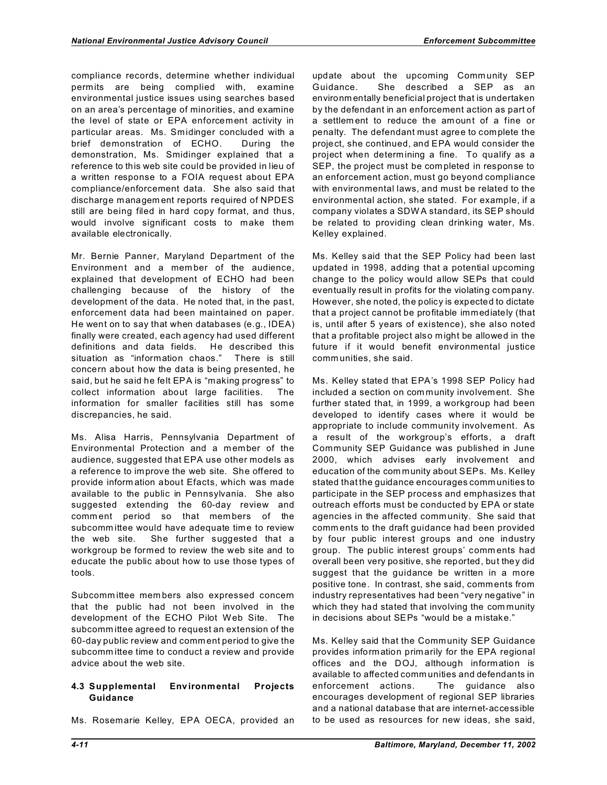compliance records, determine whether individual permits are being complied with, examine environmental justice issues using searches based on an area's percentage of minorities, and examine the level of state or EPA enforcement activity in particular areas. Ms. Smidinger concluded with a brief demonstration of ECHO. During the demonstration, Ms. Smidinger explained that a reference to this web site could be provided in lieu of a written response to a FOIA request about EPA compliance/enforcement data. She also said that discharge managem ent reports required of NPDES still are being filed in hard copy format, and thus, would involve significant costs to make them available electronically.

Mr. Bernie Panner, Maryland Department of the Environment and a mem ber of the audience, explained that development of ECHO had been challenging because of the history of the development of the data. He noted that, in the past, enforcement data had been maintained on paper. He went on to say that when databases (e.g., IDEA) finally were created, each agency had used different definitions and data fields. He described this situation as "information chaos." There is still concern about how the data is being presented, he said, but he said he felt EPA is "making progress" to collect information about large facilities. The information for smaller facilities still has some discrepancies, he said.

Ms. Alisa Harris, Pennsylvania Department of Environmental Protection and a member of the audience, suggested that EPA use other models as a reference to improve the web site. She offered to provide inform ation about Efacts, which was made available to the public in Pennsylvania. She also suggested extending the 60-day review and comm ent period so that mem bers of the subcomm ittee would have adequate time to review the web site. She further suggested that a workgroup be formed to review the web site and to educate the public about how to use those types of tools.

Subcomm ittee mem bers also expressed concern that the public had not been involved in the development of the ECHO Pilot Web Site. The subcomm ittee agreed to request an extension of the 60-day public review and comm ent period to give the subcomm ittee time to conduct a review and provide advice about the web site.

# **4.3 Supplemental Environmental Projects Guidance**

Ms. Rosemarie Kelley, EPA OECA, provided an

update about the upcoming Community SEP Guidance. She described a SEP as an environm entally beneficial project that is undertaken by the defendant in an enforcement action as part of a settlem ent to reduce the am ount of a fine or penalty. The defendant must agree to complete the project, she continued, and EPA would consider the project when determ ining a fine. To qualify as a SEP, the project must be com pleted in response to an enforcement action, must go beyond compliance with environmental laws, and must be related to the environmental action, she stated. For example, if a company violates a SDW A standard, its SEP should be related to providing clean drinking water, Ms. Kelley explained.

Ms. Kelley said that the SEP Policy had been last updated in 1998, adding that a potential upcoming change to the policy would allow SEPs that could eventually result in profits for the violating com pany. However, she noted, the policy is expected to dictate that a project cannot be profitable immediately (that is, until after 5 years of existence), she also noted that a profitable project also m ight be allowed in the future if it would benefit environmental justice comm unities, she said.

Ms. Kelley stated that EPA's 1998 SEP Policy had included a section on com munity involvement. She further stated that, in 1999, a workgroup had been developed to identify cases where it would be appropriate to include community involvement. As a result of the workgroup's efforts, a draft Community SEP Guidance was published in June 2000, which advises early involvement and education of the com munity about SEPs. Ms. Kelley stated that the guidance encourages comm unities to participate in the SEP process and emphasizes that outreach efforts must be conducted by EPA or state agencies in the affected comm unity. She said that comm ents to the draft guidance had been provided by four public interest groups and one industry group. The public interest groups' comm ents had overall been very positive, she reported, but they did suggest that the guidance be written in a more positive tone. In contrast, she said, comments from industry representatives had been "very negative" in which they had stated that involving the community in decisions about SEPs "would be a mistake."

Ms. Kelley said that the Community SEP Guidance provides information primarily for the EPA regional offices and the DOJ, although information is available to affected comm unities and defendants in enforcement actions. The guidance also encourages development of regional SEP libraries and a national database that are internet-accessible to be used as resources for new ideas, she said,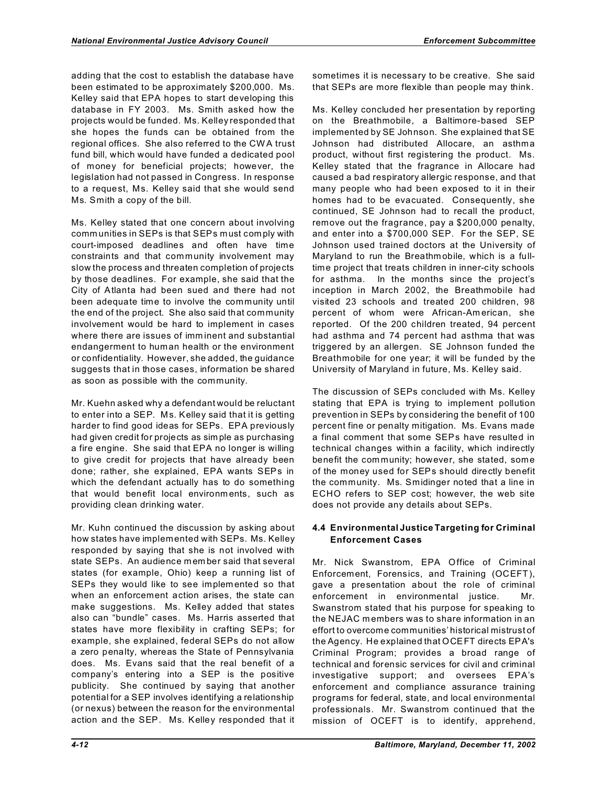adding that the cost to establish the database have been estimated to be approximately \$200,000. Ms. Kelley said that EPA hopes to start developing this database in FY 2003. Ms. Smith asked how the projects would be funded. Ms. Kelley responded that she hopes the funds can be obtained from the regional offices. She also referred to the CW A trust fund bill, which would have funded a dedicated pool of money for beneficial projects; however, the legislation had not passed in Congress. In response to a request, Ms. Kelley said that she would send Ms. Smith a copy of the bill.

Ms. Kelley stated that one concern about involving comm unities in SEPs is that SEPs must comply with court-imposed deadlines and often have time constraints and that community involvement may slow the process and threaten completion of projects by those deadlines. For example, she said that the City of Atlanta had been sued and there had not been adequate time to involve the community until the end of the project. She also said that community involvement would be hard to implement in cases where there are issues of imm inent and substantial endangerment to human health or the environment or confidentiality. However, she added, the guidance suggests that in those cases, information be shared as soon as possible with the community.

Mr. Kuehn asked why a defendant would be reluctant to enter into a SEP. Ms. Kelley said that it is getting harder to find good ideas for SEPs. EPA previously had given credit for projects as sim ple as purchasing a fire engine. She said that EPA no longer is willing to give credit for projects that have already been done; rather, she explained, EPA wants SEPs in which the defendant actually has to do something that would benefit local environments, such as providing clean drinking water.

Mr. Kuhn continued the discussion by asking about how states have implemented with SEPs. Ms. Kelley responded by saying that she is not involved with state SEPs. An audience m em ber said that several states (for example, Ohio) keep a running list of SEPs they would like to see implem ented so that when an enforcement action arises, the state can make suggestions. Ms. Kelley added that states also can "bundle" cases. Ms. Harris asserted that states have more flexibility in crafting SEPs; for example, she explained, federal SEPs do not allow a zero penalty, whereas the State of Pennsylvania does. Ms. Evans said that the real benefit of a company's entering into a SEP is the positive publicity. She continued by saying that another potential for a SEP involves identifying a relationship (or nexus) between the reason for the environmental action and the SEP. Ms. Kelley responded that it

sometimes it is necessary to be creative. She said that SEPs are more flexible than people may think.

Ms. Kelley concluded her presentation by reporting on the Breathmobile, a Baltimore-based SEP implemented by SE Johnson. She explained that SE Johnson had distributed Allocare, an asthma product, without first registering the product. Ms. Kelley stated that the fragrance in Allocare had caused a bad respiratory allergic response, and that many people who had been exposed to it in their homes had to be evacuated. Consequently, she continued, SE Johnson had to recall the product, remove out the fragrance, pay a \$200,000 penalty, and enter into a \$700,000 SEP. For the SEP, SE Johnson used trained doctors at the University of Maryland to run the Breathm obile, which is a fulltime project that treats children in inner-city schools for asthma. In the months since the project's inception in March 2002, the Breathmobile had visited 23 schools and treated 200 children, 98 percent of whom were African-Am erican, she reported. Of the 200 children treated, 94 percent had asthma and 74 percent had asthma that was triggered by an allergen. SE Johnson funded the Breathmobile for one year; it will be funded by the University of Maryland in future, Ms. Kelley said.

The discussion of SEPs concluded with Ms. Kelley stating that EPA is trying to implement pollution prevention in SEPs by considering the benefit of 100 percent fine or penalty mitigation. Ms. Evans made a final comment that some SEPs have resulted in technical changes within a facility, which indirectly benefit the community; however, she stated, some of the money used for SEPs should directly benefit the community. Ms. Smidinger noted that a line in ECHO refers to SEP cost; however, the web site does not provide any details about SEPs.

# **4.4 Environmental Justice Targeting for Criminal Enforcement Cases**

Mr. Nick Swanstrom, EPA Office of Criminal Enforcement, Forensics, and Training (OCEFT), gave a presentation about the role of criminal enforcement in environmental justice. Mr. Swanstrom stated that his purpose for speaking to the NEJAC members was to share information in an effort to overcome communities' historical mistrust of the Agency. He explained that OCEFT directs EPA's Criminal Program; provides a broad range of technical and forensic services for civil and criminal investigative support; and oversees EPA's enforcement and compliance assurance training programs for federal, state, and local environmental professionals. Mr. Swanstrom continued that the mission of OCEFT is to identify, apprehend,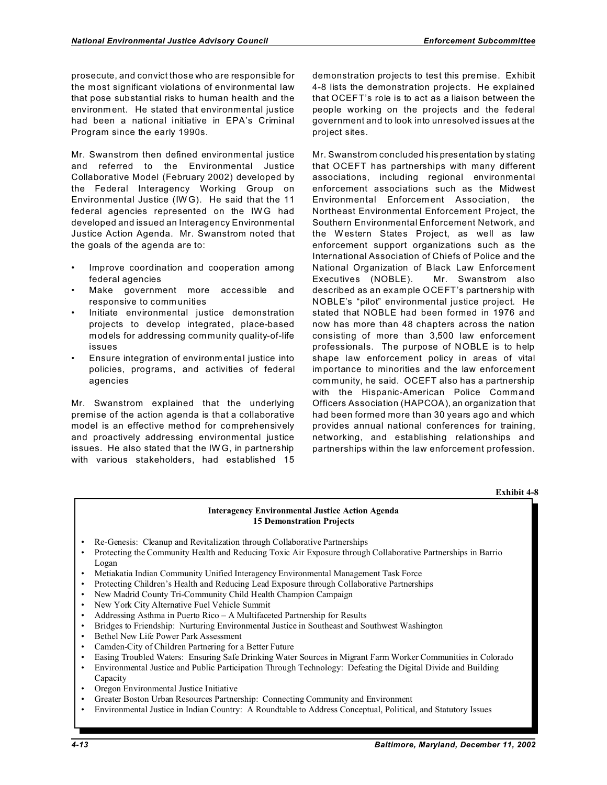prosecute, and convict those who are responsible for the most significant violations of environmental law that pose substantial risks to human health and the environm ent. He stated that environmental justice had been a national initiative in EPA's Criminal Program since the early 1990s.

Mr. Swanstrom then defined environmental justice and referred to the Environmental Justice Collaborative Model (February 2002) developed by the Federal Interagency Working Group on Environmental Justice (IW G). He said that the 11 federal agencies represented on the IW G had developed and issued an Interagency Environmental Justice Action Agenda. Mr. Swanstrom noted that the goals of the agenda are to:

- Improve coordination and cooperation among federal agencies
- Make government more accessible and responsive to comm unities
- Initiate environmental justice demonstration projects to develop integrated, place-based models for addressing community quality-of-life issues
- Ensure integration of environm ental justice into policies, programs, and activities of federal agencies

Mr. Swanstrom explained that the underlying premise of the action agenda is that a collaborative model is an effective method for comprehensively and proactively addressing environmental justice issues. He also stated that the IW G, in partnership with various stakeholders, had established 15

demonstration projects to test this premise. Exhibit 4-8 lists the demonstration projects. He explained that OCEFT's role is to act as a liaison between the people working on the projects and the federal government and to look into unresolved issues at the project sites.

Mr. Swanstrom concluded his presentation by stating that OCEFT has partnerships with many different associations, including regional environmental enforcement associations such as the Midwest Environmental Enforcem ent Association, the Northeast Environmental Enforcement Project, the Southern Environmental Enforcement Network, and the W estern States Project, as well as law enforcement support organizations such as the International Association of Chiefs of Police and the National Organization of Black Law Enforcement Executives (NOBLE). Mr. Swanstrom also described as an example OCEFT's partnership with NOBLE's "pilot" environmental justice project. He stated that NOBLE had been formed in 1976 and now has more than 48 chapters across the nation consisting of more than 3,500 law enforcement professionals. The purpose of NOBLE is to help shape law enforcement policy in areas of vital importance to minorities and the law enforcement community, he said. OCEFT also has a partnership with the Hispanic-American Police Command Officers Association (HAPCOA), an organization that had been formed more than 30 years ago and which provides annual national conferences for training, networking, and establishing relationships and partnerships within the law enforcement profession.

**Exhibit 4-8** 

## **Interagency Environmental Justice Action Agenda 15 Demonstration Projects**

- Re-Genesis: Cleanup and Revitalization through Collaborative Partnerships
- Protecting the Community Health and Reducing Toxic Air Exposure through Collaborative Partnerships in Barrio Logan
- Metiakatia Indian Community Unified Interagency Environmental Management Task Force
- Protecting Children's Health and Reducing Lead Exposure through Collaborative Partnerships
- New Madrid County Tri-Community Child Health Champion Campaign
- New York City Alternative Fuel Vehicle Summit
- Addressing Asthma in Puerto Rico A Multifaceted Partnership for Results
- Bridges to Friendship: Nurturing Environmental Justice in Southeast and Southwest Washington
- Bethel New Life Power Park Assessment
- Camden-City of Children Partnering for a Better Future
- Easing Troubled Waters: Ensuring Safe Drinking Water Sources in Migrant Farm Worker Communities in Colorado
- Environmental Justice and Public Participation Through Technology: Defeating the Digital Divide and Building Capacity
- Oregon Environmental Justice Initiative
- Greater Boston Urban Resources Partnership: Connecting Community and Environment
- Environmental Justice in Indian Country: A Roundtable to Address Conceptual, Political, and Statutory Issues